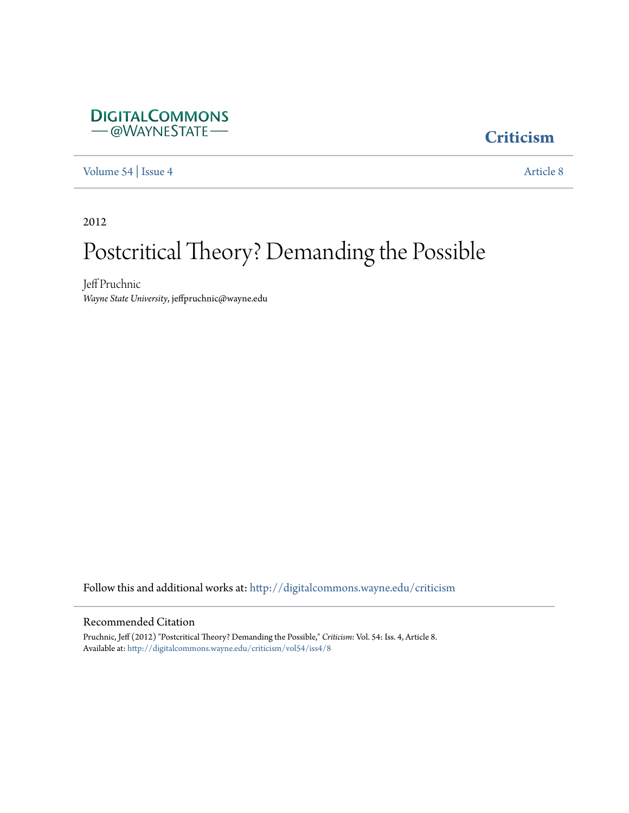## **DIGITALCOMMONS** - @WAYNESTATE-

## **[Criticism](http://digitalcommons.wayne.edu/criticism?utm_source=digitalcommons.wayne.edu%2Fcriticism%2Fvol54%2Fiss4%2F8&utm_medium=PDF&utm_campaign=PDFCoverPages)**

[Volume 54](http://digitalcommons.wayne.edu/criticism/vol54?utm_source=digitalcommons.wayne.edu%2Fcriticism%2Fvol54%2Fiss4%2F8&utm_medium=PDF&utm_campaign=PDFCoverPages) | [Issue 4](http://digitalcommons.wayne.edu/criticism/vol54/iss4?utm_source=digitalcommons.wayne.edu%2Fcriticism%2Fvol54%2Fiss4%2F8&utm_medium=PDF&utm_campaign=PDFCoverPages) [Article 8](http://digitalcommons.wayne.edu/criticism/vol54/iss4/8?utm_source=digitalcommons.wayne.edu%2Fcriticism%2Fvol54%2Fiss4%2F8&utm_medium=PDF&utm_campaign=PDFCoverPages)

2012

# Postcritical Theory? Demanding the Possible

Jeff Pruchnic *Wayne State University*, jeffpruchnic@wayne.edu

Follow this and additional works at: [http://digitalcommons.wayne.edu/criticism](http://digitalcommons.wayne.edu/criticism?utm_source=digitalcommons.wayne.edu%2Fcriticism%2Fvol54%2Fiss4%2F8&utm_medium=PDF&utm_campaign=PDFCoverPages)

### Recommended Citation

Pruchnic, Jeff (2012) "Postcritical Theory? Demanding the Possible," *Criticism*: Vol. 54: Iss. 4, Article 8. Available at: [http://digitalcommons.wayne.edu/criticism/vol54/iss4/8](http://digitalcommons.wayne.edu/criticism/vol54/iss4/8?utm_source=digitalcommons.wayne.edu%2Fcriticism%2Fvol54%2Fiss4%2F8&utm_medium=PDF&utm_campaign=PDFCoverPages)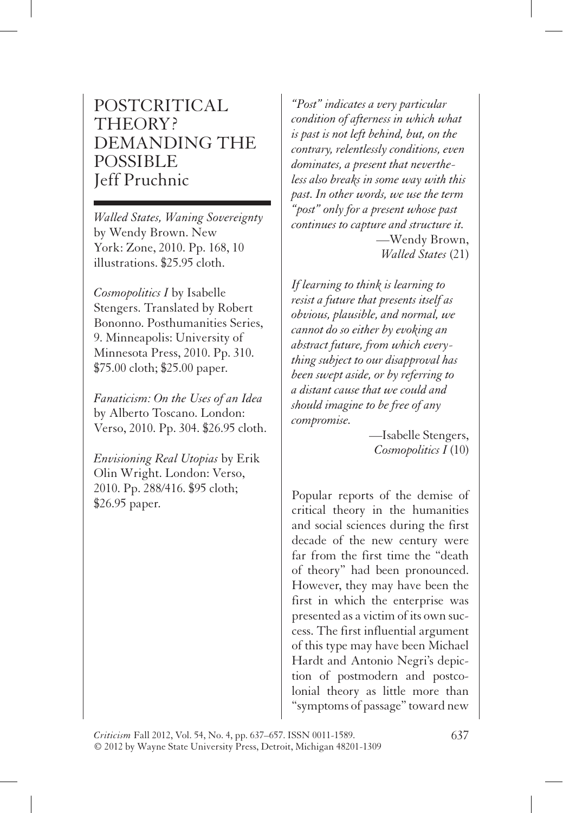## POSTCRITICAL THEORY? Demanding the **POSSIBLE** Jeff Pruchnic

*Walled States, Waning Sovereignty* by Wendy Brown. New York: Zone, 2010. Pp. 168, 10 illustrations. \$25.95 cloth.

*Cosmopolitics I* by Isabelle Stengers. Translated by Robert Bononno. Posthumanities Series, 9. Minneapolis: University of Minnesota Press, 2010. Pp. 310. \$75.00 cloth; \$25.00 paper.

*Fanaticism: On the Uses of an Idea* by Alberto Toscano. London: Verso, 2010. Pp. 304. \$26.95 cloth.

*Envisioning Real Utopias* by Erik Olin Wright. London: Verso, 2010. Pp. 288/416. \$95 cloth; \$26.95 paper.

*"Post" indicates a very particular condition of afterness in which what is past is not left behind, but, on the contrary, relentlessly conditions, even dominates, a present that nevertheless also breaks in some way with this past. In other words, we use the term "post" only for a present whose past continues to capture and structure it.* —Wendy Brown, *Walled States* (21)

*If learning to think is learning to resist a future that presents itself as obvious, plausible, and normal, we cannot do so either by evoking an abstract future, from which everything subject to our disapproval has been swept aside, or by referring to a distant cause that we could and should imagine to be free of any compromise.*

> —Isabelle Stengers, *Cosmopolitics I* (10)

Popular reports of the demise of critical theory in the humanities and social sciences during the first decade of the new century were far from the first time the "death of theory" had been pronounced. However, they may have been the first in which the enterprise was presented as a victim of its own success. The first influential argument of this type may have been Michael Hardt and Antonio Negri's depiction of postmodern and postcolonial theory as little more than "symptoms of passage" toward new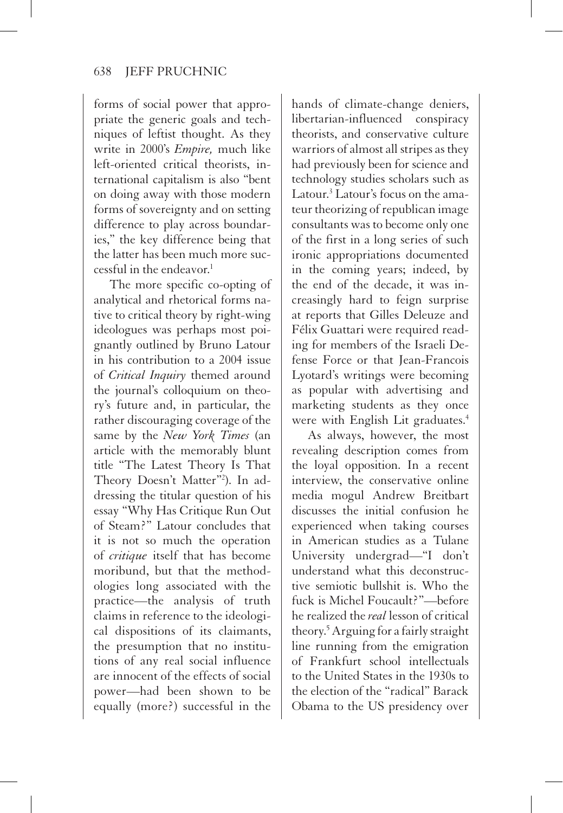forms of social power that appropriate the generic goals and techniques of leftist thought. As they write in 2000's *Empire,* much like left-oriented critical theorists, international capitalism is also "bent on doing away with those modern forms of sovereignty and on setting difference to play across boundaries," the key difference being that the latter has been much more suc- $\cosh^{-1}$  in the endeavor.<sup>1</sup>

The more specific co-opting of analytical and rhetorical forms native to critical theory by right-wing ideologues was perhaps most poignantly outlined by Bruno Latour in his contribution to a 2004 issue of *Critical Inquiry* themed around the journal's colloquium on theory's future and, in particular, the rather discouraging coverage of the same by the *New York Times* (an article with the memorably blunt title "The Latest Theory Is That Theory Doesn't Matter"2 ). In addressing the titular question of his essay "Why Has Critique Run Out of Steam?" Latour concludes that it is not so much the operation of *critique* itself that has become moribund, but that the methodologies long associated with the practice—the analysis of truth claims in reference to the ideological dispositions of its claimants, the presumption that no institutions of any real social influence are innocent of the effects of social power—had been shown to be equally (more?) successful in the

hands of climate-change deniers, libertarian-influenced conspiracy theorists, and conservative culture warriors of almost all stripes as they had previously been for science and technology studies scholars such as Latour.3 Latour's focus on the amateur theorizing of republican image consultants was to become only one of the first in a long series of such ironic appropriations documented in the coming years; indeed, by the end of the decade, it was increasingly hard to feign surprise at reports that Gilles Deleuze and Félix Guattari were required reading for members of the Israeli Defense Force or that Jean-Francois Lyotard's writings were becoming as popular with advertising and marketing students as they once were with English Lit graduates.4

As always, however, the most revealing description comes from the loyal opposition. In a recent interview, the conservative online media mogul Andrew Breitbart discusses the initial confusion he experienced when taking courses in American studies as a Tulane University undergrad—"I don't understand what this deconstructive semiotic bullshit is. Who the fuck is Michel Foucault?"—before he realized the *real* lesson of critical theory.5 Arguing for a fairly straight line running from the emigration of Frankfurt school intellectuals to the United States in the 1930s to the election of the "radical" Barack Obama to the US presidency over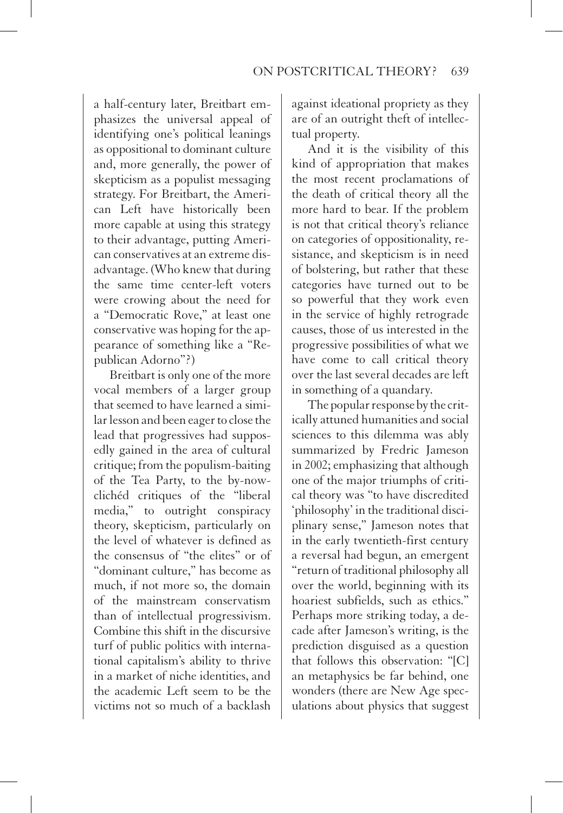a half-century later, Breitbart emphasizes the universal appeal of identifying one's political leanings as oppositional to dominant culture and, more generally, the power of skepticism as a populist messaging strategy. For Breitbart, the American Left have historically been more capable at using this strategy to their advantage, putting American conservatives at an extreme disadvantage. (Who knew that during the same time center-left voters were crowing about the need for a "Democratic Rove," at least one conservative was hoping for the appearance of something like a "Republican Adorno"?)

Breitbart is only one of the more vocal members of a larger group that seemed to have learned a similar lesson and been eager to close the lead that progressives had supposedly gained in the area of cultural critique; from the populism-baiting of the Tea Party, to the by-nowclichéd critiques of the "liberal media," to outright conspiracy theory, skepticism, particularly on the level of whatever is defined as the consensus of "the elites" or of "dominant culture," has become as much, if not more so, the domain of the mainstream conservatism than of intellectual progressivism. Combine this shift in the discursive turf of public politics with international capitalism's ability to thrive in a market of niche identities, and the academic Left seem to be the victims not so much of a backlash

against ideational propriety as they are of an outright theft of intellectual property.

And it is the visibility of this kind of appropriation that makes the most recent proclamations of the death of critical theory all the more hard to bear. If the problem is not that critical theory's reliance on categories of oppositionality, resistance, and skepticism is in need of bolstering, but rather that these categories have turned out to be so powerful that they work even in the service of highly retrograde causes, those of us interested in the progressive possibilities of what we have come to call critical theory over the last several decades are left in something of a quandary.

The popular response by the critically attuned humanities and social sciences to this dilemma was ably summarized by Fredric Jameson in 2002; emphasizing that although one of the major triumphs of critical theory was "to have discredited 'philosophy' in the traditional disciplinary sense," Jameson notes that in the early twentieth-first century a reversal had begun, an emergent "return of traditional philosophy all over the world, beginning with its hoariest subfields, such as ethics." Perhaps more striking today, a decade after Jameson's writing, is the prediction disguised as a question that follows this observation: "[C] an metaphysics be far behind, one wonders (there are New Age speculations about physics that suggest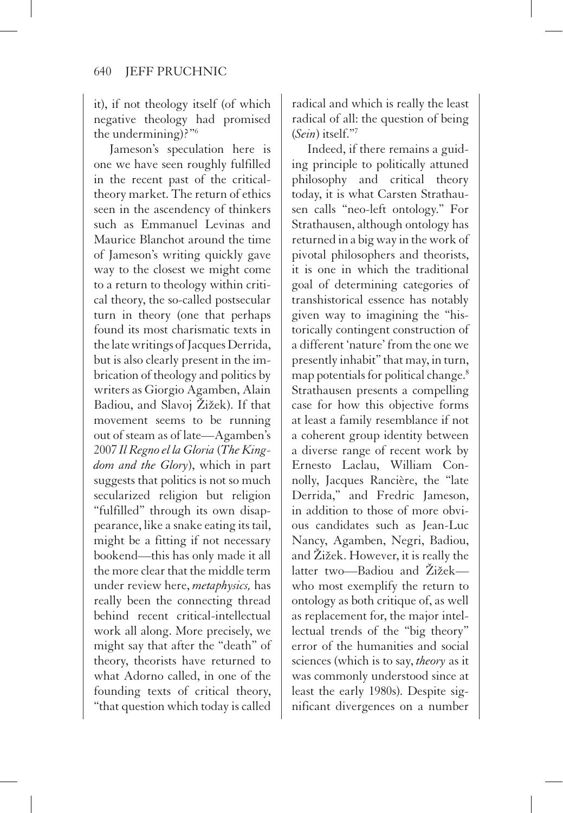it), if not theology itself (of which negative theology had promised the undermining)?"6

Jameson's speculation here is one we have seen roughly fulfilled in the recent past of the criticaltheory market. The return of ethics seen in the ascendency of thinkers such as Emmanuel Levinas and Maurice Blanchot around the time of Jameson's writing quickly gave way to the closest we might come to a return to theology within critical theory, the so-called postsecular turn in theory (one that perhaps found its most charismatic texts in the late writings of Jacques Derrida, but is also clearly present in the imbrication of theology and politics by writers as Giorgio Agamben, Alain Badiou, and Slavoj Žižek). If that movement seems to be running out of steam as of late—Agamben's 2007 *Il Regno el la Gloria* (*The Kingdom and the Glory*), which in part suggests that politics is not so much secularized religion but religion "fulfilled" through its own disappearance, like a snake eating its tail, might be a fitting if not necessary bookend—this has only made it all the more clear that the middle term under review here, *metaphysics,* has really been the connecting thread behind recent critical-intellectual work all along. More precisely, we might say that after the "death" of theory, theorists have returned to what Adorno called, in one of the founding texts of critical theory, "that question which today is called

radical and which is really the least radical of all: the question of being (*Sein*) itself."7

Indeed, if there remains a guiding principle to politically attuned philosophy and critical theory today, it is what Carsten Strathausen calls "neo-left ontology." For Strathausen, although ontology has returned in a big way in the work of pivotal philosophers and theorists, it is one in which the traditional goal of determining categories of transhistorical essence has notably given way to imagining the "historically contingent construction of a different 'nature' from the one we presently inhabit" that may, in turn, map potentials for political change.<sup>8</sup> Strathausen presents a compelling case for how this objective forms at least a family resemblance if not a coherent group identity between a diverse range of recent work by Ernesto Laclau, William Connolly, Jacques Rancière, the "late Derrida," and Fredric Jameson, in addition to those of more obvious candidates such as Jean-Luc Nancy, Agamben, Negri, Badiou, and Žižek. However, it is really the latter two—Badiou and Žižek who most exemplify the return to ontology as both critique of, as well as replacement for, the major intellectual trends of the "big theory" error of the humanities and social sciences (which is to say, *theory* as it was commonly understood since at least the early 1980s). Despite significant divergences on a number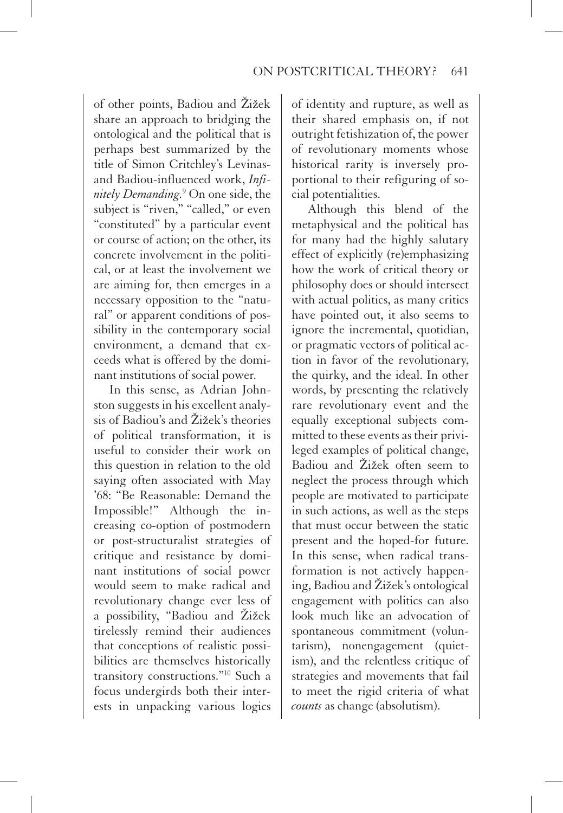of other points, Badiou and Žižek share an approach to bridging the ontological and the political that is perhaps best summarized by the title of Simon Critchley's Levinasand Badiou-influenced work, *Infinitely Demanding.*<sup>9</sup> On one side, the subject is "riven," "called," or even "constituted" by a particular event or course of action; on the other, its concrete involvement in the political, or at least the involvement we are aiming for, then emerges in a necessary opposition to the "natural" or apparent conditions of possibility in the contemporary social environment, a demand that exceeds what is offered by the dominant institutions of social power.

In this sense, as Adrian Johnston suggests in his excellent analysis of Badiou's and Žižek's theories of political transformation, it is useful to consider their work on this question in relation to the old saying often associated with May '68: "Be Reasonable: Demand the Impossible!" Although the increasing co-option of postmodern or post-structuralist strategies of critique and resistance by dominant institutions of social power would seem to make radical and revolutionary change ever less of a possibility, "Badiou and Žižek tirelessly remind their audiences that conceptions of realistic possibilities are themselves historically transitory constructions."10 Such a focus undergirds both their interests in unpacking various logics

of identity and rupture, as well as their shared emphasis on, if not outright fetishization of, the power of revolutionary moments whose historical rarity is inversely proportional to their refiguring of social potentialities.

Although this blend of the metaphysical and the political has for many had the highly salutary effect of explicitly (re)emphasizing how the work of critical theory or philosophy does or should intersect with actual politics, as many critics have pointed out, it also seems to ignore the incremental, quotidian, or pragmatic vectors of political action in favor of the revolutionary, the quirky, and the ideal. In other words, by presenting the relatively rare revolutionary event and the equally exceptional subjects committed to these events as their privileged examples of political change, Badiou and Žižek often seem to neglect the process through which people are motivated to participate in such actions, as well as the steps that must occur between the static present and the hoped-for future. In this sense, when radical transformation is not actively happening, Badiou and Žižek's ontological engagement with politics can also look much like an advocation of spontaneous commitment (voluntarism), nonengagement (quietism), and the relentless critique of strategies and movements that fail to meet the rigid criteria of what *counts* as change (absolutism).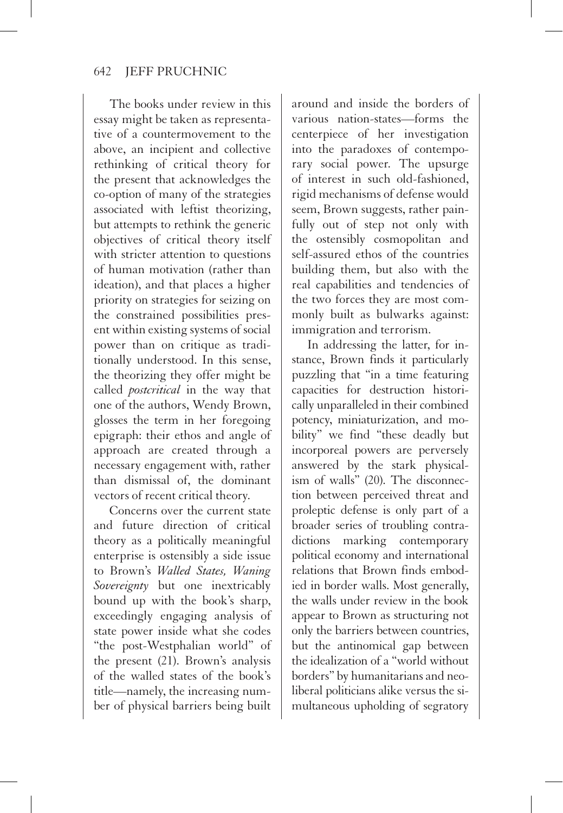The books under review in this essay might be taken as representative of a countermovement to the above, an incipient and collective rethinking of critical theory for the present that acknowledges the co-option of many of the strategies associated with leftist theorizing, but attempts to rethink the generic objectives of critical theory itself with stricter attention to questions of human motivation (rather than ideation), and that places a higher priority on strategies for seizing on the constrained possibilities present within existing systems of social power than on critique as traditionally understood. In this sense, the theorizing they offer might be called *postcritical* in the way that one of the authors, Wendy Brown, glosses the term in her foregoing epigraph: their ethos and angle of approach are created through a necessary engagement with, rather than dismissal of, the dominant vectors of recent critical theory.

Concerns over the current state and future direction of critical theory as a politically meaningful enterprise is ostensibly a side issue to Brown's *Walled States, Waning Sovereignty* but one inextricably bound up with the book's sharp, exceedingly engaging analysis of state power inside what she codes "the post-Westphalian world" of the present (21). Brown's analysis of the walled states of the book's title—namely, the increasing number of physical barriers being built

around and inside the borders of various nation-states—forms the centerpiece of her investigation into the paradoxes of contemporary social power. The upsurge of interest in such old-fashioned, rigid mechanisms of defense would seem, Brown suggests, rather painfully out of step not only with the ostensibly cosmopolitan and self-assured ethos of the countries building them, but also with the real capabilities and tendencies of the two forces they are most commonly built as bulwarks against: immigration and terrorism.

In addressing the latter, for instance, Brown finds it particularly puzzling that "in a time featuring capacities for destruction historically unparalleled in their combined potency, miniaturization, and mobility" we find "these deadly but incorporeal powers are perversely answered by the stark physicalism of walls" (20). The disconnection between perceived threat and proleptic defense is only part of a broader series of troubling contradictions marking contemporary political economy and international relations that Brown finds embodied in border walls. Most generally, the walls under review in the book appear to Brown as structuring not only the barriers between countries, but the antinomical gap between the idealization of a "world without borders" by humanitarians and neoliberal politicians alike versus the simultaneous upholding of segratory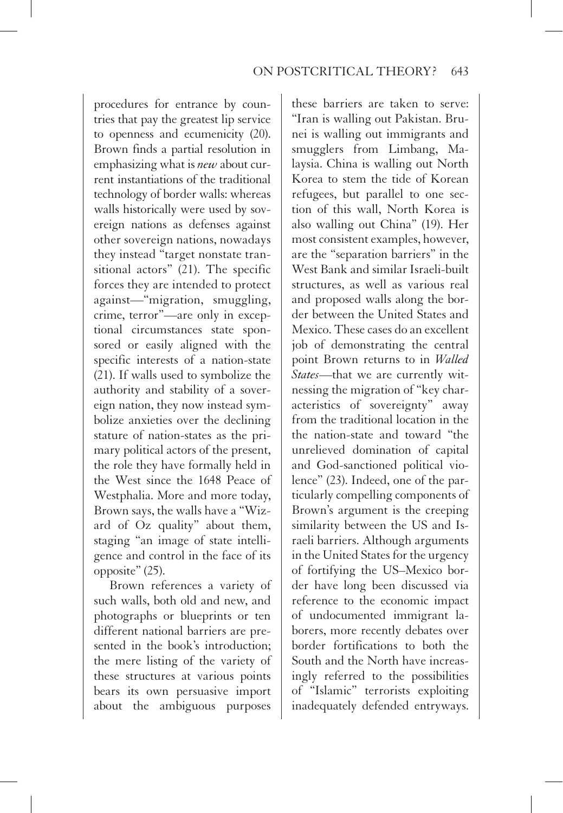procedures for entrance by countries that pay the greatest lip service to openness and ecumenicity (20). Brown finds a partial resolution in emphasizing what is *new* about current instantiations of the traditional technology of border walls: whereas walls historically were used by sovereign nations as defenses against other sovereign nations, nowadays they instead "target nonstate transitional actors" (21). The specific forces they are intended to protect against—"migration, smuggling, crime, terror"—are only in exceptional circumstances state sponsored or easily aligned with the specific interests of a nation-state (21). If walls used to symbolize the authority and stability of a sovereign nation, they now instead symbolize anxieties over the declining stature of nation-states as the primary political actors of the present, the role they have formally held in the West since the 1648 Peace of Westphalia. More and more today, Brown says, the walls have a "Wizard of Oz quality" about them, staging "an image of state intelligence and control in the face of its opposite" (25).

Brown references a variety of such walls, both old and new, and photographs or blueprints or ten different national barriers are presented in the book's introduction; the mere listing of the variety of these structures at various points bears its own persuasive import about the ambiguous purposes

these barriers are taken to serve: "Iran is walling out Pakistan. Brunei is walling out immigrants and smugglers from Limbang, Malaysia. China is walling out North Korea to stem the tide of Korean refugees, but parallel to one section of this wall, North Korea is also walling out China" (19). Her most consistent examples, however, are the "separation barriers" in the West Bank and similar Israeli-built structures, as well as various real and proposed walls along the border between the United States and Mexico. These cases do an excellent job of demonstrating the central point Brown returns to in *Walled States*—that we are currently witnessing the migration of "key characteristics of sovereignty" away from the traditional location in the the nation-state and toward "the unrelieved domination of capital and God-sanctioned political violence" (23). Indeed, one of the particularly compelling components of Brown's argument is the creeping similarity between the US and Israeli barriers. Although arguments in the United States for the urgency of fortifying the US–Mexico border have long been discussed via reference to the economic impact of undocumented immigrant laborers, more recently debates over border fortifications to both the South and the North have increasingly referred to the possibilities of "Islamic" terrorists exploiting inadequately defended entryways.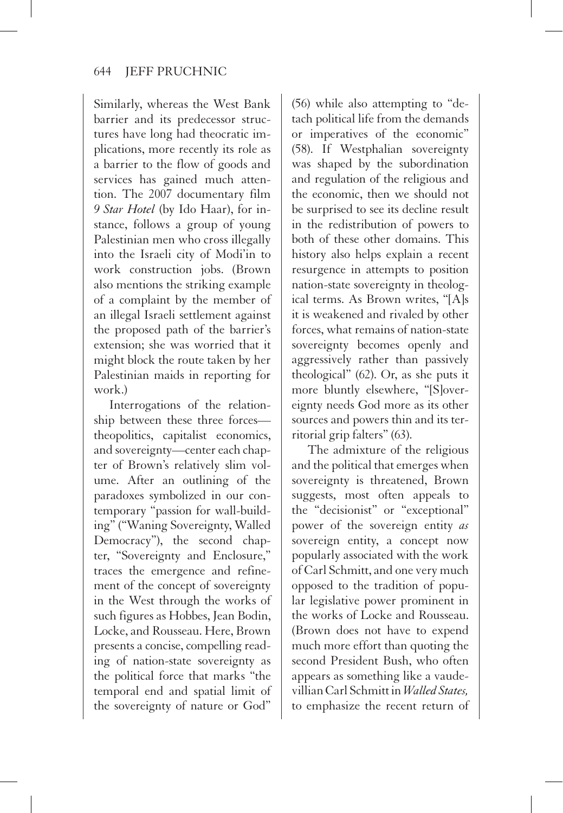Similarly, whereas the West Bank barrier and its predecessor structures have long had theocratic implications, more recently its role as a barrier to the flow of goods and services has gained much attention. The 2007 documentary film *9 Star Hotel* (by Ido Haar), for instance, follows a group of young Palestinian men who cross illegally into the Israeli city of Modi'in to work construction jobs. (Brown also mentions the striking example of a complaint by the member of an illegal Israeli settlement against the proposed path of the barrier's extension; she was worried that it might block the route taken by her Palestinian maids in reporting for work.)

Interrogations of the relationship between these three forces theopolitics, capitalist economics, and sovereignty—center each chapter of Brown's relatively slim volume. After an outlining of the paradoxes symbolized in our contemporary "passion for wall-building" ("Waning Sovereignty, Walled Democracy"), the second chapter, "Sovereignty and Enclosure," traces the emergence and refinement of the concept of sovereignty in the West through the works of such figures as Hobbes, Jean Bodin, Locke, and Rousseau. Here, Brown presents a concise, compelling reading of nation-state sovereignty as the political force that marks "the temporal end and spatial limit of the sovereignty of nature or God"

(56) while also attempting to "detach political life from the demands or imperatives of the economic" (58). If Westphalian sovereignty was shaped by the subordination and regulation of the religious and the economic, then we should not be surprised to see its decline result in the redistribution of powers to both of these other domains. This history also helps explain a recent resurgence in attempts to position nation-state sovereignty in theological terms. As Brown writes, "[A]s it is weakened and rivaled by other forces, what remains of nation-state sovereignty becomes openly and aggressively rather than passively theological" (62). Or, as she puts it more bluntly elsewhere, "[S]overeignty needs God more as its other sources and powers thin and its territorial grip falters" (63).

The admixture of the religious and the political that emerges when sovereignty is threatened, Brown suggests, most often appeals to the "decisionist" or "exceptional" power of the sovereign entity *as* sovereign entity, a concept now popularly associated with the work of Carl Schmitt, and one very much opposed to the tradition of popular legislative power prominent in the works of Locke and Rousseau. (Brown does not have to expend much more effort than quoting the second President Bush, who often appears as something like a vaudevillian Carl Schmitt in *Walled States,* to emphasize the recent return of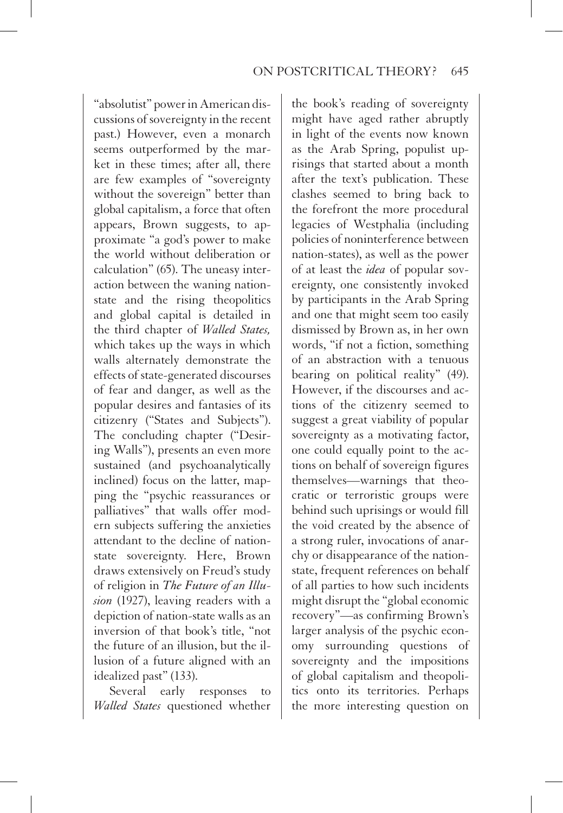"absolutist" power in American discussions of sovereignty in the recent past.) However, even a monarch seems outperformed by the market in these times; after all, there are few examples of "sovereignty without the sovereign" better than global capitalism, a force that often appears, Brown suggests, to approximate "a god's power to make the world without deliberation or calculation" (65). The uneasy interaction between the waning nationstate and the rising theopolitics and global capital is detailed in the third chapter of *Walled States,* which takes up the ways in which walls alternately demonstrate the effects of state-generated discourses of fear and danger, as well as the popular desires and fantasies of its citizenry ("States and Subjects"). The concluding chapter ("Desiring Walls"), presents an even more sustained (and psychoanalytically inclined) focus on the latter, mapping the "psychic reassurances or palliatives" that walls offer modern subjects suffering the anxieties attendant to the decline of nationstate sovereignty. Here, Brown draws extensively on Freud's study of religion in *The Future of an Illusion* (1927), leaving readers with a depiction of nation-state walls as an inversion of that book's title, "not the future of an illusion, but the illusion of a future aligned with an idealized past" (133).

Several early responses to *Walled States* questioned whether the book's reading of sovereignty might have aged rather abruptly in light of the events now known as the Arab Spring, populist uprisings that started about a month after the text's publication. These clashes seemed to bring back to the forefront the more procedural legacies of Westphalia (including policies of noninterference between nation-states), as well as the power of at least the *idea* of popular sovereignty, one consistently invoked by participants in the Arab Spring and one that might seem too easily dismissed by Brown as, in her own words, "if not a fiction, something of an abstraction with a tenuous bearing on political reality" (49). However, if the discourses and actions of the citizenry seemed to suggest a great viability of popular sovereignty as a motivating factor, one could equally point to the actions on behalf of sovereign figures themselves—warnings that theocratic or terroristic groups were behind such uprisings or would fill the void created by the absence of a strong ruler, invocations of anarchy or disappearance of the nationstate, frequent references on behalf of all parties to how such incidents might disrupt the "global economic recovery"—as confirming Brown's larger analysis of the psychic economy surrounding questions of sovereignty and the impositions of global capitalism and theopolitics onto its territories. Perhaps the more interesting question on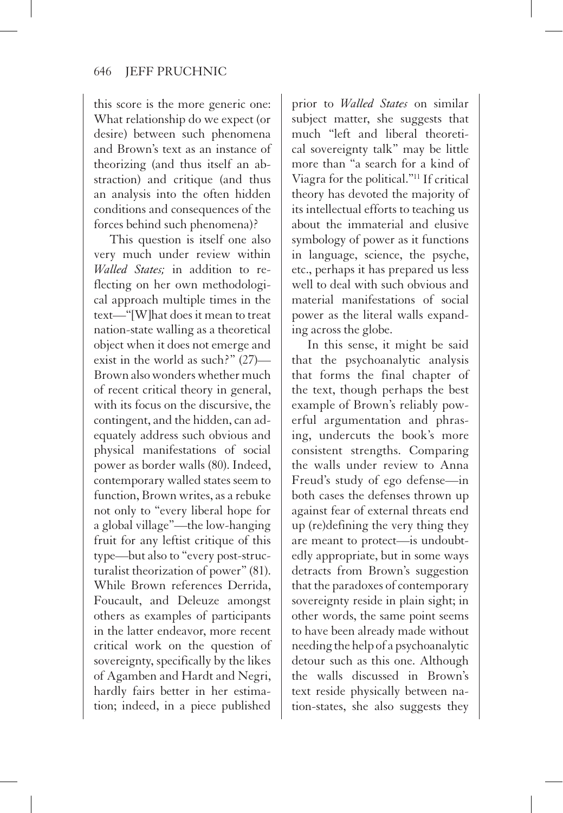this score is the more generic one: What relationship do we expect (or desire) between such phenomena and Brown's text as an instance of theorizing (and thus itself an abstraction) and critique (and thus an analysis into the often hidden conditions and consequences of the forces behind such phenomena)?

This question is itself one also very much under review within *Walled States;* in addition to reflecting on her own methodological approach multiple times in the text—"[W]hat does it mean to treat nation-state walling as a theoretical object when it does not emerge and exist in the world as such?" (27)— Brown also wonders whether much of recent critical theory in general, with its focus on the discursive, the contingent, and the hidden, can adequately address such obvious and physical manifestations of social power as border walls (80). Indeed, contemporary walled states seem to function, Brown writes, as a rebuke not only to "every liberal hope for a global village"—the low-hanging fruit for any leftist critique of this type—but also to "every post-structuralist theorization of power" (81). While Brown references Derrida, Foucault, and Deleuze amongst others as examples of participants in the latter endeavor, more recent critical work on the question of sovereignty, specifically by the likes of Agamben and Hardt and Negri, hardly fairs better in her estimation; indeed, in a piece published

prior to *Walled States* on similar subject matter, she suggests that much "left and liberal theoretical sovereignty talk" may be little more than "a search for a kind of Viagra for the political."11 If critical theory has devoted the majority of its intellectual efforts to teaching us about the immaterial and elusive symbology of power as it functions in language, science, the psyche, etc., perhaps it has prepared us less well to deal with such obvious and material manifestations of social power as the literal walls expanding across the globe.

In this sense, it might be said that the psychoanalytic analysis that forms the final chapter of the text, though perhaps the best example of Brown's reliably powerful argumentation and phrasing, undercuts the book's more consistent strengths. Comparing the walls under review to Anna Freud's study of ego defense—in both cases the defenses thrown up against fear of external threats end up (re)defining the very thing they are meant to protect—is undoubtedly appropriate, but in some ways detracts from Brown's suggestion that the paradoxes of contemporary sovereignty reside in plain sight; in other words, the same point seems to have been already made without needing the help of a psychoanalytic detour such as this one. Although the walls discussed in Brown's text reside physically between nation-states, she also suggests they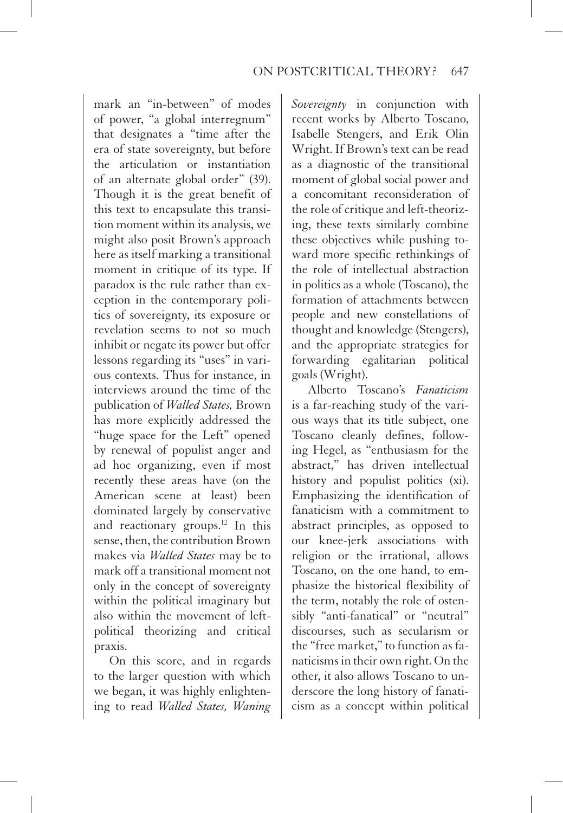mark an "in-between" of modes of power, "a global interregnum" that designates a "time after the era of state sovereignty, but before the articulation or instantiation of an alternate global order" (39). Though it is the great benefit of this text to encapsulate this transition moment within its analysis, we might also posit Brown's approach here as itself marking a transitional moment in critique of its type. If paradox is the rule rather than exception in the contemporary politics of sovereignty, its exposure or revelation seems to not so much inhibit or negate its power but offer lessons regarding its "uses" in various contexts. Thus for instance, in interviews around the time of the publication of *Walled States,* Brown has more explicitly addressed the "huge space for the Left" opened by renewal of populist anger and ad hoc organizing, even if most recently these areas have (on the American scene at least) been dominated largely by conservative and reactionary groups.<sup>12</sup> In this sense, then, the contribution Brown makes via *Walled States* may be to mark off a transitional moment not only in the concept of sovereignty within the political imaginary but also within the movement of leftpolitical theorizing and critical praxis.

On this score, and in regards to the larger question with which we began, it was highly enlightening to read *Walled States, Waning*  *Sovereignty* in conjunction with recent works by Alberto Toscano, Isabelle Stengers, and Erik Olin Wright. If Brown's text can be read as a diagnostic of the transitional moment of global social power and a concomitant reconsideration of the role of critique and left-theorizing, these texts similarly combine these objectives while pushing toward more specific rethinkings of the role of intellectual abstraction in politics as a whole (Toscano), the formation of attachments between people and new constellations of thought and knowledge (Stengers), and the appropriate strategies for forwarding egalitarian political goals (Wright).

Alberto Toscano's *Fanaticism* is a far-reaching study of the various ways that its title subject, one Toscano cleanly defines, following Hegel, as "enthusiasm for the abstract," has driven intellectual history and populist politics (xi). Emphasizing the identification of fanaticism with a commitment to abstract principles, as opposed to our knee-jerk associations with religion or the irrational, allows Toscano, on the one hand, to emphasize the historical flexibility of the term, notably the role of ostensibly "anti-fanatical" or "neutral" discourses, such as secularism or the "free market," to function as fanaticisms in their own right. On the other, it also allows Toscano to underscore the long history of fanaticism as a concept within political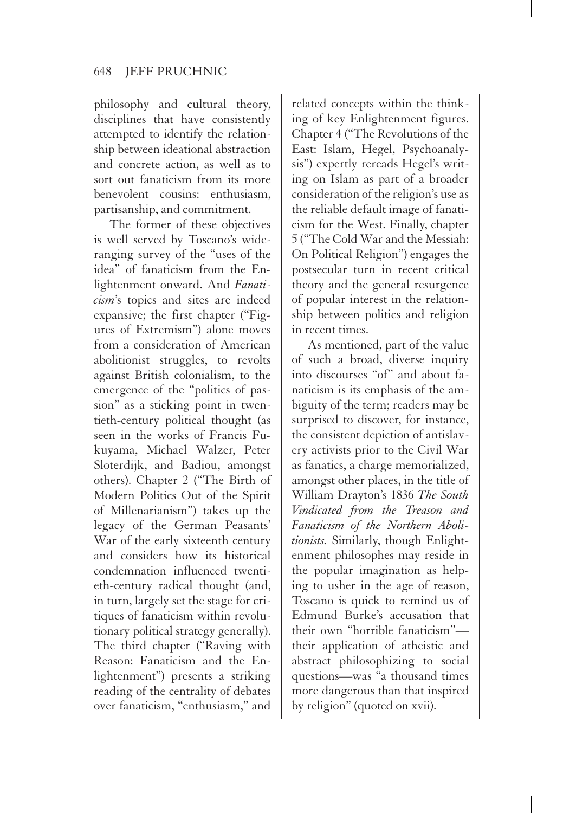philosophy and cultural theory, disciplines that have consistently attempted to identify the relationship between ideational abstraction and concrete action, as well as to sort out fanaticism from its more benevolent cousins: enthusiasm, partisanship, and commitment.

The former of these objectives is well served by Toscano's wideranging survey of the "uses of the idea" of fanaticism from the Enlightenment onward. And *Fanaticism*'s topics and sites are indeed expansive; the first chapter ("Figures of Extremism") alone moves from a consideration of American abolitionist struggles, to revolts against British colonialism, to the emergence of the "politics of passion" as a sticking point in twentieth-century political thought (as seen in the works of Francis Fukuyama, Michael Walzer, Peter Sloterdijk, and Badiou, amongst others). Chapter 2 ("The Birth of Modern Politics Out of the Spirit of Millenarianism") takes up the legacy of the German Peasants' War of the early sixteenth century and considers how its historical condemnation influenced twentieth-century radical thought (and, in turn, largely set the stage for critiques of fanaticism within revolutionary political strategy generally). The third chapter ("Raving with Reason: Fanaticism and the Enlightenment") presents a striking reading of the centrality of debates over fanaticism, "enthusiasm," and

related concepts within the thinking of key Enlightenment figures. Chapter 4 ("The Revolutions of the East: Islam, Hegel, Psychoanalysis") expertly rereads Hegel's writing on Islam as part of a broader consideration of the religion's use as the reliable default image of fanaticism for the West. Finally, chapter 5 ("The Cold War and the Messiah: On Political Religion") engages the postsecular turn in recent critical theory and the general resurgence of popular interest in the relationship between politics and religion in recent times.

As mentioned, part of the value of such a broad, diverse inquiry into discourses "of" and about fanaticism is its emphasis of the ambiguity of the term; readers may be surprised to discover, for instance, the consistent depiction of antislavery activists prior to the Civil War as fanatics, a charge memorialized, amongst other places, in the title of William Drayton's 1836 *The South Vindicated from the Treason and Fanaticism of the Northern Abolitionists.* Similarly, though Enlightenment philosophes may reside in the popular imagination as helping to usher in the age of reason, Toscano is quick to remind us of Edmund Burke's accusation that their own "horrible fanaticism" their application of atheistic and abstract philosophizing to social questions—was "a thousand times more dangerous than that inspired by religion" (quoted on xvii).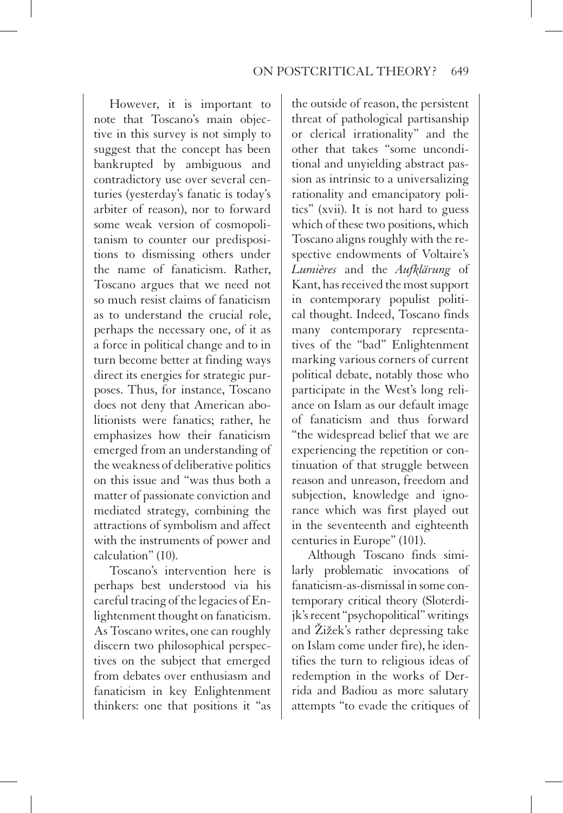However, it is important to note that Toscano's main objective in this survey is not simply to suggest that the concept has been bankrupted by ambiguous and contradictory use over several centuries (yesterday's fanatic is today's arbiter of reason), nor to forward some weak version of cosmopolitanism to counter our predispositions to dismissing others under the name of fanaticism. Rather, Toscano argues that we need not so much resist claims of fanaticism as to understand the crucial role, perhaps the necessary one, of it as a force in political change and to in turn become better at finding ways direct its energies for strategic purposes. Thus, for instance, Toscano does not deny that American abolitionists were fanatics; rather, he emphasizes how their fanaticism emerged from an understanding of the weakness of deliberative politics on this issue and "was thus both a matter of passionate conviction and mediated strategy, combining the attractions of symbolism and affect with the instruments of power and calculation" (10).

Toscano's intervention here is perhaps best understood via his careful tracing of the legacies of Enlightenment thought on fanaticism. As Toscano writes, one can roughly discern two philosophical perspectives on the subject that emerged from debates over enthusiasm and fanaticism in key Enlightenment thinkers: one that positions it "as the outside of reason, the persistent threat of pathological partisanship or clerical irrationality" and the other that takes "some unconditional and unyielding abstract passion as intrinsic to a universalizing rationality and emancipatory politics" (xvii). It is not hard to guess which of these two positions, which Toscano aligns roughly with the respective endowments of Voltaire's *Lumières* and the *Aufklärung* of Kant, has received the most support in contemporary populist political thought. Indeed, Toscano finds many contemporary representatives of the "bad" Enlightenment marking various corners of current political debate, notably those who participate in the West's long reliance on Islam as our default image of fanaticism and thus forward "the widespread belief that we are experiencing the repetition or continuation of that struggle between reason and unreason, freedom and subjection, knowledge and ignorance which was first played out in the seventeenth and eighteenth centuries in Europe" (101).

Although Toscano finds similarly problematic invocations of fanaticism-as-dismissal in some contemporary critical theory (Sloterdijk's recent "psychopolitical" writings and Žižek's rather depressing take on Islam come under fire), he identifies the turn to religious ideas of redemption in the works of Derrida and Badiou as more salutary attempts "to evade the critiques of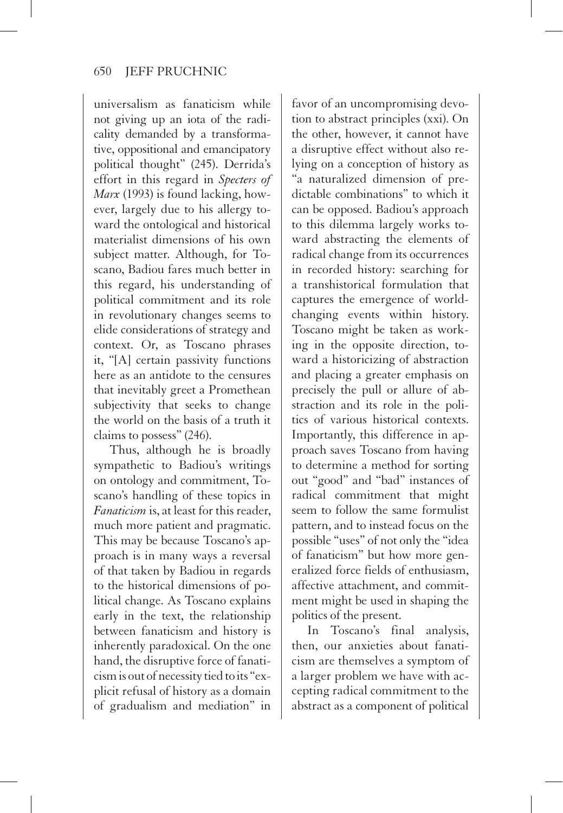universalism as fanaticism while not giving up an iota of the radicality demanded by a transformative, oppositional and emancipatory political thought" (245). Derrida's effort in this regard in *Specters of Marx* (1993) is found lacking, however, largely due to his allergy toward the ontological and historical materialist dimensions of his own subject matter. Although, for Toscano, Badiou fares much better in this regard, his understanding of political commitment and its role in revolutionary changes seems to elide considerations of strategy and context. Or, as Toscano phrases it, "[A] certain passivity functions here as an antidote to the censures that inevitably greet a Promethean subjectivity that seeks to change the world on the basis of a truth it claims to possess" (246).

Thus, although he is broadly sympathetic to Badiou's writings on ontology and commitment, Toscano's handling of these topics in *Fanaticism* is, at least for this reader, much more patient and pragmatic. This may be because Toscano's approach is in many ways a reversal of that taken by Badiou in regards to the historical dimensions of political change. As Toscano explains early in the text, the relationship between fanaticism and history is inherently paradoxical. On the one hand, the disruptive force of fanaticism is out of necessity tied to its "explicit refusal of history as a domain of gradualism and mediation" in favor of an uncompromising devotion to abstract principles (xxi). On the other, however, it cannot have a disruptive effect without also relying on a conception of history as "a naturalized dimension of predictable combinations" to which it can be opposed. Badiou's approach to this dilemma largely works toward abstracting the elements of radical change from its occurrences in recorded history: searching for a transhistorical formulation that captures the emergence of worldchanging events within history. Toscano might be taken as working in the opposite direction, toward a historicizing of abstraction and placing a greater emphasis on precisely the pull or allure of abstraction and its role in the politics of various historical contexts. Importantly, this difference in approach saves Toscano from having to determine a method for sorting out "good" and "bad" instances of radical commitment that might seem to follow the same formulist pattern, and to instead focus on the possible "uses" of not only the "idea of fanaticism" but how more generalized force fields of enthusiasm, affective attachment, and commitment might be used in shaping the politics of the present.

In Toscano's final analysis, then, our anxieties about fanaticism are themselves a symptom of a larger problem we have with accepting radical commitment to the abstract as a component of political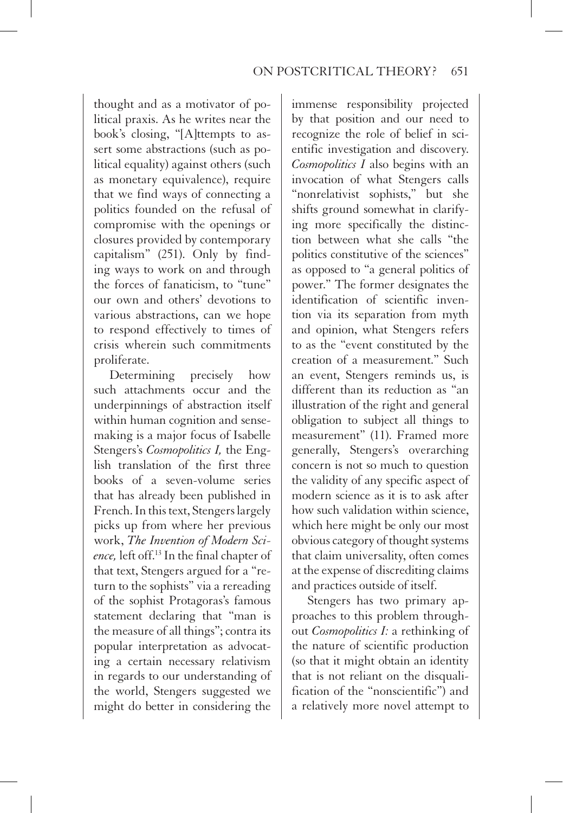thought and as a motivator of political praxis. As he writes near the book's closing, "[A]ttempts to assert some abstractions (such as political equality) against others (such as monetary equivalence), require that we find ways of connecting a politics founded on the refusal of compromise with the openings or closures provided by contemporary capitalism" (251). Only by finding ways to work on and through the forces of fanaticism, to "tune" our own and others' devotions to various abstractions, can we hope to respond effectively to times of crisis wherein such commitments proliferate.

Determining precisely how such attachments occur and the underpinnings of abstraction itself within human cognition and sensemaking is a major focus of Isabelle Stengers's *Cosmopolitics I,* the English translation of the first three books of a seven-volume series that has already been published in French. In this text, Stengers largely picks up from where her previous work, *The Invention of Modern Science,* left off.13 In the final chapter of that text, Stengers argued for a "return to the sophists" via a rereading of the sophist Protagoras's famous statement declaring that "man is the measure of all things"; contra its popular interpretation as advocating a certain necessary relativism in regards to our understanding of the world, Stengers suggested we might do better in considering the

immense responsibility projected by that position and our need to recognize the role of belief in scientific investigation and discovery. *Cosmopolitics I* also begins with an invocation of what Stengers calls "nonrelativist sophists," but she shifts ground somewhat in clarifying more specifically the distinction between what she calls "the politics constitutive of the sciences" as opposed to "a general politics of power." The former designates the identification of scientific invention via its separation from myth and opinion, what Stengers refers to as the "event constituted by the creation of a measurement." Such an event, Stengers reminds us, is different than its reduction as "an illustration of the right and general obligation to subject all things to measurement" (11). Framed more generally, Stengers's overarching concern is not so much to question the validity of any specific aspect of modern science as it is to ask after how such validation within science, which here might be only our most obvious category of thought systems that claim universality, often comes at the expense of discrediting claims and practices outside of itself.

Stengers has two primary approaches to this problem throughout *Cosmopolitics I:* a rethinking of the nature of scientific production (so that it might obtain an identity that is not reliant on the disqualification of the "nonscientific") and a relatively more novel attempt to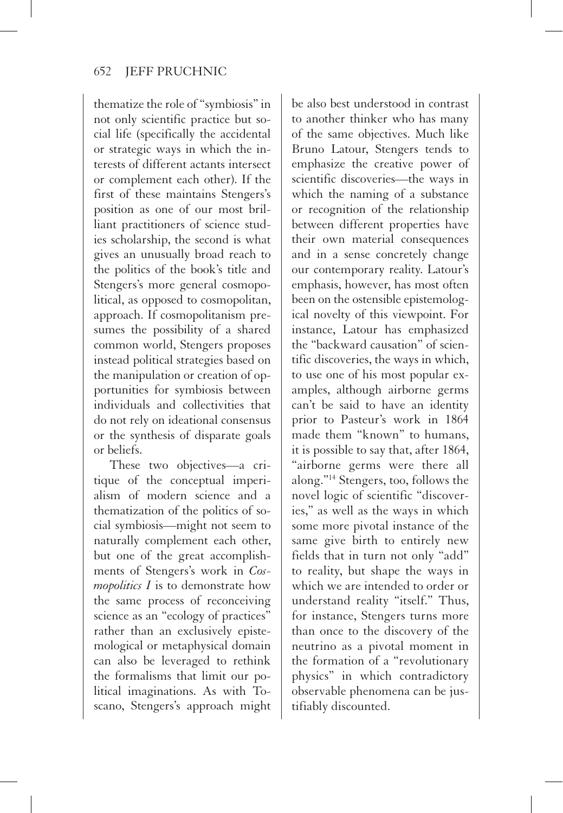thematize the role of "symbiosis" in not only scientific practice but social life (specifically the accidental or strategic ways in which the interests of different actants intersect or complement each other). If the first of these maintains Stengers's position as one of our most brilliant practitioners of science studies scholarship, the second is what gives an unusually broad reach to the politics of the book's title and Stengers's more general cosmopolitical, as opposed to cosmopolitan, approach. If cosmopolitanism presumes the possibility of a shared common world, Stengers proposes instead political strategies based on the manipulation or creation of opportunities for symbiosis between individuals and collectivities that do not rely on ideational consensus or the synthesis of disparate goals or beliefs.

These two objectives—a critique of the conceptual imperialism of modern science and a thematization of the politics of social symbiosis—might not seem to naturally complement each other, but one of the great accomplishments of Stengers's work in *Cosmopolitics I* is to demonstrate how the same process of reconceiving science as an "ecology of practices" rather than an exclusively epistemological or metaphysical domain can also be leveraged to rethink the formalisms that limit our political imaginations. As with Toscano, Stengers's approach might

be also best understood in contrast to another thinker who has many of the same objectives. Much like Bruno Latour, Stengers tends to emphasize the creative power of scientific discoveries—the ways in which the naming of a substance or recognition of the relationship between different properties have their own material consequences and in a sense concretely change our contemporary reality. Latour's emphasis, however, has most often been on the ostensible epistemological novelty of this viewpoint. For instance, Latour has emphasized the "backward causation" of scientific discoveries, the ways in which, to use one of his most popular examples, although airborne germs can't be said to have an identity prior to Pasteur's work in 1864 made them "known" to humans, it is possible to say that, after 1864, "airborne germs were there all along."14 Stengers, too, follows the novel logic of scientific "discoveries," as well as the ways in which some more pivotal instance of the same give birth to entirely new fields that in turn not only "add" to reality, but shape the ways in which we are intended to order or understand reality "itself." Thus, for instance, Stengers turns more than once to the discovery of the neutrino as a pivotal moment in the formation of a "revolutionary physics" in which contradictory observable phenomena can be justifiably discounted.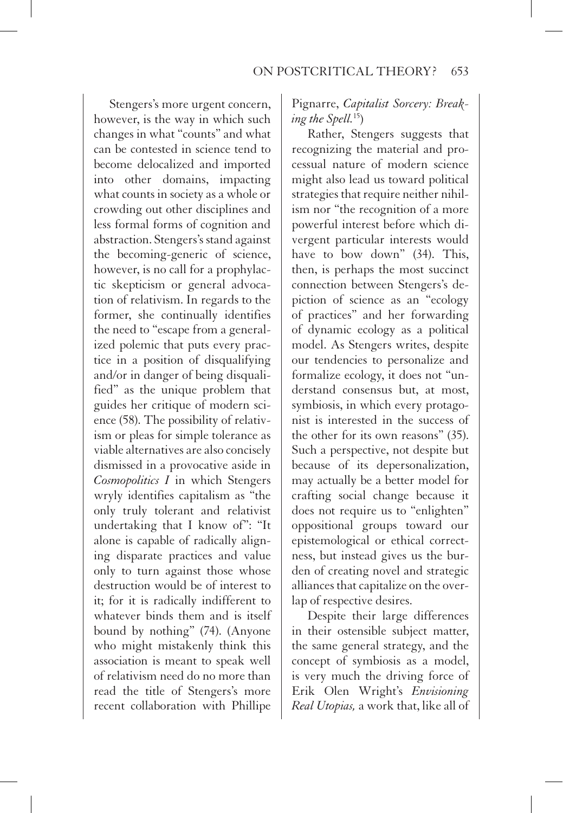Stengers's more urgent concern, however, is the way in which such changes in what "counts" and what can be contested in science tend to become delocalized and imported into other domains, impacting what counts in society as a whole or crowding out other disciplines and less formal forms of cognition and abstraction. Stengers's stand against the becoming-generic of science, however, is no call for a prophylactic skepticism or general advocation of relativism. In regards to the former, she continually identifies the need to "escape from a generalized polemic that puts every practice in a position of disqualifying and/or in danger of being disqualified" as the unique problem that guides her critique of modern science (58). The possibility of relativism or pleas for simple tolerance as viable alternatives are also concisely dismissed in a provocative aside in *Cosmopolitics I* in which Stengers wryly identifies capitalism as "the only truly tolerant and relativist undertaking that I know of": "It alone is capable of radically aligning disparate practices and value only to turn against those whose destruction would be of interest to it; for it is radically indifferent to whatever binds them and is itself bound by nothing" (74). (Anyone who might mistakenly think this association is meant to speak well of relativism need do no more than read the title of Stengers's more recent collaboration with Phillipe

Pignarre, *Capitalist Sorcery: Breaking the Spell.*15)

Rather, Stengers suggests that recognizing the material and processual nature of modern science might also lead us toward political strategies that require neither nihilism nor "the recognition of a more powerful interest before which divergent particular interests would have to bow down" (34). This, then, is perhaps the most succinct connection between Stengers's depiction of science as an "ecology of practices" and her forwarding of dynamic ecology as a political model. As Stengers writes, despite our tendencies to personalize and formalize ecology, it does not "understand consensus but, at most, symbiosis, in which every protagonist is interested in the success of the other for its own reasons" (35). Such a perspective, not despite but because of its depersonalization, may actually be a better model for crafting social change because it does not require us to "enlighten" oppositional groups toward our epistemological or ethical correctness, but instead gives us the burden of creating novel and strategic alliances that capitalize on the overlap of respective desires.

Despite their large differences in their ostensible subject matter, the same general strategy, and the concept of symbiosis as a model, is very much the driving force of Erik Olen Wright's *Envisioning Real Utopias,* a work that, like all of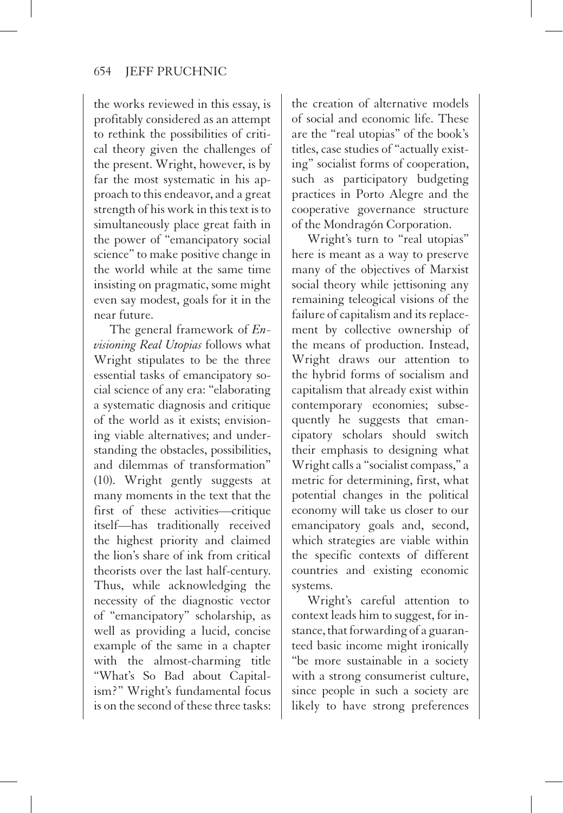the works reviewed in this essay, is profitably considered as an attempt to rethink the possibilities of critical theory given the challenges of the present. Wright, however, is by far the most systematic in his approach to this endeavor, and a great strength of his work in this text is to simultaneously place great faith in the power of "emancipatory social science" to make positive change in the world while at the same time insisting on pragmatic, some might even say modest, goals for it in the near future.

The general framework of *Envisioning Real Utopias* follows what Wright stipulates to be the three essential tasks of emancipatory social science of any era: "elaborating a systematic diagnosis and critique of the world as it exists; envisioning viable alternatives; and understanding the obstacles, possibilities, and dilemmas of transformation" (10). Wright gently suggests at many moments in the text that the first of these activities—critique itself—has traditionally received the highest priority and claimed the lion's share of ink from critical theorists over the last half-century. Thus, while acknowledging the necessity of the diagnostic vector of "emancipatory" scholarship, as well as providing a lucid, concise example of the same in a chapter with the almost-charming title "What's So Bad about Capitalism?" Wright's fundamental focus is on the second of these three tasks:

the creation of alternative models of social and economic life. These are the "real utopias" of the book's titles, case studies of "actually existing" socialist forms of cooperation, such as participatory budgeting practices in Porto Alegre and the cooperative governance structure of the Mondragón Corporation.

Wright's turn to "real utopias" here is meant as a way to preserve many of the objectives of Marxist social theory while jettisoning any remaining teleogical visions of the failure of capitalism and its replacement by collective ownership of the means of production. Instead, Wright draws our attention to the hybrid forms of socialism and capitalism that already exist within contemporary economies; subsequently he suggests that emancipatory scholars should switch their emphasis to designing what Wright calls a "socialist compass," a metric for determining, first, what potential changes in the political economy will take us closer to our emancipatory goals and, second, which strategies are viable within the specific contexts of different countries and existing economic systems.

Wright's careful attention to context leads him to suggest, for instance, that forwarding of a guaranteed basic income might ironically "be more sustainable in a society with a strong consumerist culture, since people in such a society are likely to have strong preferences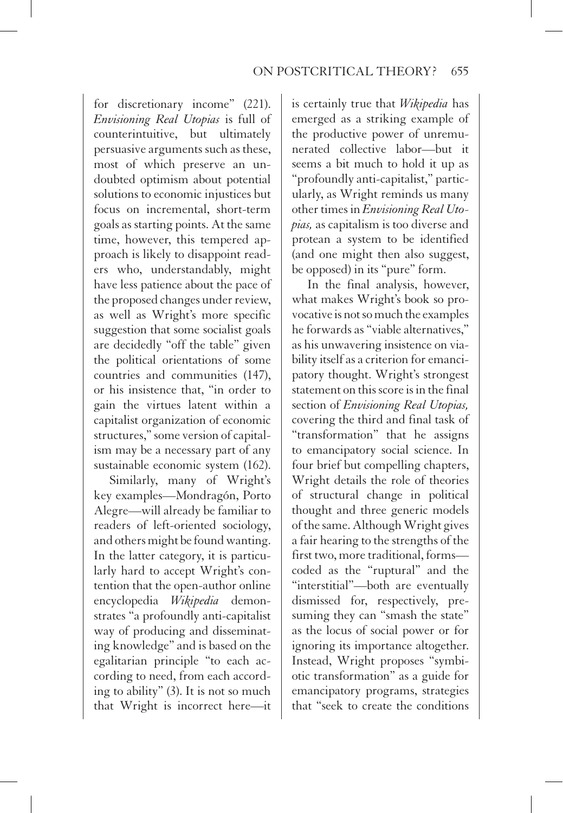for discretionary income" (221). *Envisioning Real Utopias* is full of counterintuitive, but ultimately persuasive arguments such as these, most of which preserve an undoubted optimism about potential solutions to economic injustices but focus on incremental, short-term goals as starting points. At the same time, however, this tempered approach is likely to disappoint readers who, understandably, might have less patience about the pace of the proposed changes under review, as well as Wright's more specific suggestion that some socialist goals are decidedly "off the table" given the political orientations of some countries and communities (147), or his insistence that, "in order to gain the virtues latent within a capitalist organization of economic structures," some version of capitalism may be a necessary part of any sustainable economic system (162).

Similarly, many of Wright's key examples—Mondragón, Porto Alegre—will already be familiar to readers of left-oriented sociology, and others might be found wanting. In the latter category, it is particularly hard to accept Wright's contention that the open-author online encyclopedia *Wikipedia* demonstrates "a profoundly anti-capitalist way of producing and disseminating knowledge" and is based on the egalitarian principle "to each according to need, from each according to ability" (3). It is not so much that Wright is incorrect here—it

is certainly true that *Wikipedia* has emerged as a striking example of the productive power of unremunerated collective labor—but it seems a bit much to hold it up as "profoundly anti-capitalist," particularly, as Wright reminds us many other times in *Envisioning Real Utopias,* as capitalism is too diverse and protean a system to be identified (and one might then also suggest, be opposed) in its "pure" form.

In the final analysis, however, what makes Wright's book so provocative is not so much the examples he forwards as "viable alternatives," as his unwavering insistence on viability itself as a criterion for emancipatory thought. Wright's strongest statement on this score is in the final section of *Envisioning Real Utopias,* covering the third and final task of "transformation" that he assigns to emancipatory social science. In four brief but compelling chapters, Wright details the role of theories of structural change in political thought and three generic models of the same. Although Wright gives a fair hearing to the strengths of the first two, more traditional, forms coded as the "ruptural" and the "interstitial"—both are eventually dismissed for, respectively, presuming they can "smash the state" as the locus of social power or for ignoring its importance altogether. Instead, Wright proposes "symbiotic transformation" as a guide for emancipatory programs, strategies that "seek to create the conditions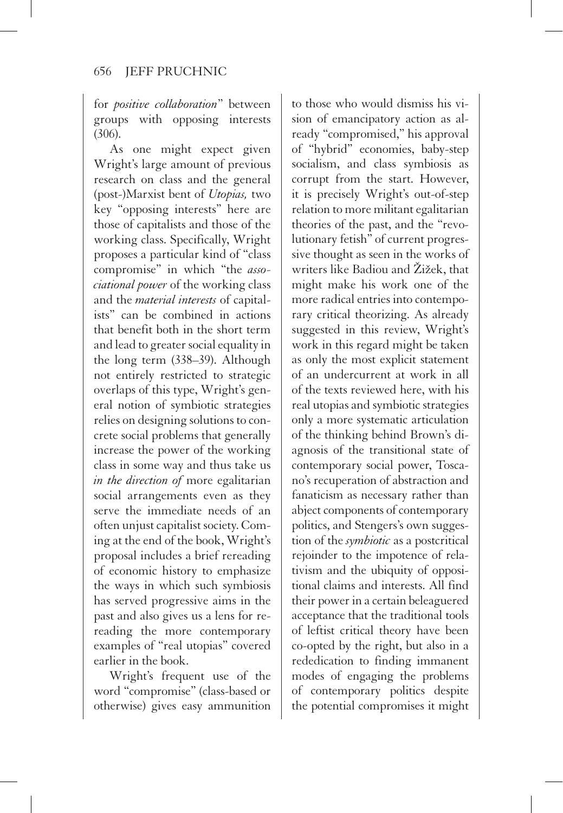for *positive collaboration*" between groups with opposing interests (306).

As one might expect given Wright's large amount of previous research on class and the general (post-)Marxist bent of *Utopias,* two key "opposing interests" here are those of capitalists and those of the working class. Specifically, Wright proposes a particular kind of "class compromise" in which "the *associational power* of the working class and the *material interests* of capitalists" can be combined in actions that benefit both in the short term and lead to greater social equality in the long term (338–39). Although not entirely restricted to strategic overlaps of this type, Wright's general notion of symbiotic strategies relies on designing solutions to concrete social problems that generally increase the power of the working class in some way and thus take us *in the direction of* more egalitarian social arrangements even as they serve the immediate needs of an often unjust capitalist society. Coming at the end of the book, Wright's proposal includes a brief rereading of economic history to emphasize the ways in which such symbiosis has served progressive aims in the past and also gives us a lens for rereading the more contemporary examples of "real utopias" covered earlier in the book.

Wright's frequent use of the word "compromise" (class-based or otherwise) gives easy ammunition to those who would dismiss his vision of emancipatory action as already "compromised," his approval of "hybrid" economies, baby-step socialism, and class symbiosis as corrupt from the start. However, it is precisely Wright's out-of-step relation to more militant egalitarian theories of the past, and the "revolutionary fetish" of current progressive thought as seen in the works of writers like Badiou and Žižek, that might make his work one of the more radical entries into contemporary critical theorizing. As already suggested in this review, Wright's work in this regard might be taken as only the most explicit statement of an undercurrent at work in all of the texts reviewed here, with his real utopias and symbiotic strategies only a more systematic articulation of the thinking behind Brown's diagnosis of the transitional state of contemporary social power, Toscano's recuperation of abstraction and fanaticism as necessary rather than abject components of contemporary politics, and Stengers's own suggestion of the *symbiotic* as a postcritical rejoinder to the impotence of relativism and the ubiquity of oppositional claims and interests. All find their power in a certain beleaguered acceptance that the traditional tools of leftist critical theory have been co-opted by the right, but also in a rededication to finding immanent modes of engaging the problems of contemporary politics despite the potential compromises it might